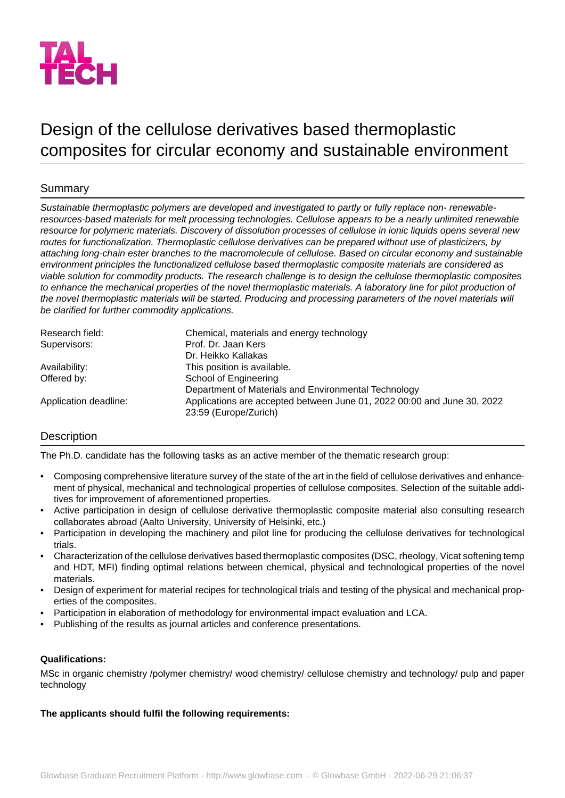

# Design of the cellulose derivatives based thermoplastic composites for circular economy and sustainable environment

# Summary

*Sustainable thermoplastic polymers are developed and investigated to partly or fully replace non- renewableresources-based materials for melt processing technologies. Cellulose appears to be a nearly unlimited renewable resource for polymeric materials. Discovery of dissolution processes of cellulose in ionic liquids opens several new routes for functionalization. Thermoplastic cellulose derivatives can be prepared without use of plasticizers, by attaching long-chain ester branches to the macromolecule of cellulose. Based on circular economy and sustainable environment principles the functionalized cellulose based thermoplastic composite materials are considered as viable solution for commodity products. The research challenge is to design the cellulose thermoplastic composites to enhance the mechanical properties of the novel thermoplastic materials. A laboratory line for pilot production of* the novel thermoplastic materials will be started. Producing and processing parameters of the novel materials will *be clarified for further commodity applications.*

| Research field:       | Chemical, materials and energy technology                                                        |
|-----------------------|--------------------------------------------------------------------------------------------------|
| Supervisors:          | Prof. Dr. Jaan Kers                                                                              |
|                       | Dr. Heikko Kallakas                                                                              |
| Availability:         | This position is available.                                                                      |
| Offered by:           | School of Engineering                                                                            |
|                       | Department of Materials and Environmental Technology                                             |
| Application deadline: | Applications are accepted between June 01, 2022 00:00 and June 30, 2022<br>23:59 (Europe/Zurich) |

# **Description**

The Ph.D. candidate has the following tasks as an active member of the thematic research group:

- Composing comprehensive literature survey of the state of the art in the field of cellulose derivatives and enhancement of physical, mechanical and technological properties of cellulose composites. Selection of the suitable additives for improvement of aforementioned properties.
- Active participation in design of cellulose derivative thermoplastic composite material also consulting research collaborates abroad (Aalto University, University of Helsinki, etc.)
- Participation in developing the machinery and pilot line for producing the cellulose derivatives for technological trials.
- Characterization of the cellulose derivatives based thermoplastic composites (DSC, rheology, Vicat softening temp and HDT, MFI) finding optimal relations between chemical, physical and technological properties of the novel materials.
- Design of experiment for material recipes for technological trials and testing of the physical and mechanical properties of the composites.
- Participation in elaboration of methodology for environmental impact evaluation and LCA.
- Publishing of the results as journal articles and conference presentations.

### **Qualifications:**

MSc in organic chemistry /polymer chemistry/ wood chemistry/ cellulose chemistry and technology/ pulp and paper technology

### **The applicants should fulfil the following requirements:**